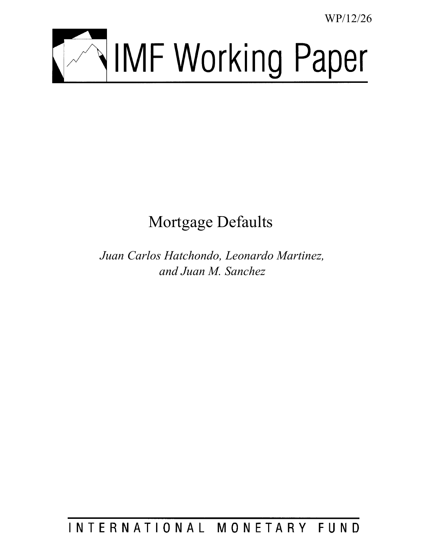WP/12/26



# Mortgage Defaults

*Juan Carlos Hatchondo, Leonardo Martinez, and Juan M. Sanchez*

INTERNATIONAL MONETARY FUND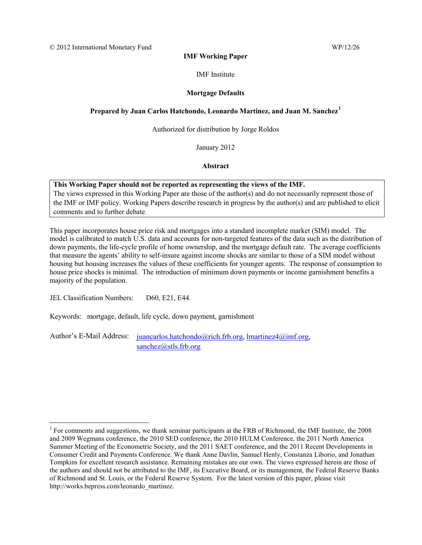#### **IMF Working Paper**

#### IMF Institute

#### **Mortgage Defaults**

# **Prepared by Juan Carlos Hatchondo, Leonardo Martinez, and Juan M. Sanchez[1](#page-1-0)**

#### Authorized for distribution by Jorge Roldos

January 2012

#### **Abstract**

#### **This Working Paper should not be reported as representing the views of the IMF.**

The views expressed in this Working Paper are those of the author(s) and do not necessarily represent those of the IMF or IMF policy. Working Papers describe research in progress by the author(s) and are published to elicit comments and to further debate.

This paper incorporates house price risk and mortgages into a standard incomplete market (SIM) model. The model is calibrated to match U.S. data and accounts for non-targeted features of the data such as the distribution of down payments, the life-cycle profile of home ownership, and the mortgage default rate. The average coefficients that measure the agents' ability to self-insure against income shocks are similar to those of a SIM model without housing but housing increases the values of these coefficients for younger agents. The response of consumption to house price shocks is minimal. The introduction of minimum down payments or income garnishment benefits a majority of the population.

JEL Classification Numbers: D60, E21, E44.

 $\overline{a}$ 

Keywords: mortgage, default, life cycle, down payment, garnishment

Author's E-Mail Address: [juancarlos.hatchondo@rich.frb.org,](mailto:juancarlos.hatchondo@rich.frb.org) [lmartinez4@imf.org,](mailto:lmartinez4@imf.org) [sanchez@stls.frb.org](mailto:sanchez@stls.frb.org)

<span id="page-1-0"></span><sup>&</sup>lt;sup>1</sup> For comments and suggestions, we thank seminar participants at the FRB of Richmond, the IMF Institute, the 2008 and 2009 Wegmans conference, the 2010 SED conference, the 2010 HULM Conference, the 2011 North America Summer Meeting of the Econometric Society, and the 2011 SAET conference, and the 2011 Recent Developments in Consumer Credit and Payments Conference. We thank Anne Davlin, Samuel Henly, Constanza Liborio, and Jonathan Tompkins for excellent research assistance. Remaining mistakes are our own. The views expressed herein are those of the authors and should not be attributed to the IMF, its Executive Board, or its management, the Federal Reserve Banks of Richmond and St. Louis, or the Federal Reserve System. For the latest version of this paper, please visit http://works.bepress.com/leonardo\_martinez.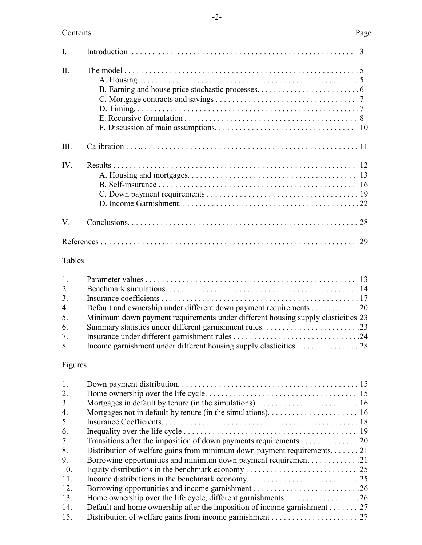# Contents Page

| II.  |    |
|------|----|
| III. |    |
| IV.  |    |
| V.   | 28 |
|      | 29 |

# Tables

| 1. |                                                                                  |  |
|----|----------------------------------------------------------------------------------|--|
| 2. |                                                                                  |  |
| 3. |                                                                                  |  |
| 4. | Default and ownership under different down payment requirements 20               |  |
| 5. | Minimum down payment requirements under different housing supply elasticities 23 |  |
| 6. |                                                                                  |  |
| 7. |                                                                                  |  |
| 8. |                                                                                  |  |

# Figures

| 1.  |                                                                          |  |
|-----|--------------------------------------------------------------------------|--|
| 2.  |                                                                          |  |
| 3.  |                                                                          |  |
| 4.  |                                                                          |  |
| 5.  |                                                                          |  |
| 6.  |                                                                          |  |
| 7.  | Transitions after the imposition of down payments requirements 20        |  |
| 8.  | Distribution of welfare gains from minimum down payment requirements21   |  |
| 9.  |                                                                          |  |
| 10. |                                                                          |  |
| 11. |                                                                          |  |
| 12. |                                                                          |  |
| 13. |                                                                          |  |
| 14. | Default and home ownership after the imposition of income garnishment 27 |  |
| 15. |                                                                          |  |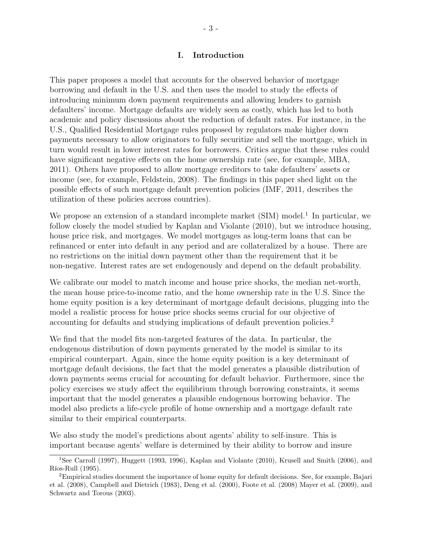#### I. Introduction

This paper proposes a model that accounts for the observed behavior of mortgage borrowing and default in the U.S. and then uses the model to study the effects of introducing minimum down payment requirements and allowing lenders to garnish defaulters' income. Mortgage defaults are widely seen as costly, which has led to both academic and policy discussions about the reduction of default rates. For instance, in the U.S., Qualified Residential Mortgage rules proposed by regulators make higher down payments necessary to allow originators to fully securitize and sell the mortgage, which in turn would result in lower interest rates for borrowers. Critics argue that these rules could have significant negative effects on the home ownership rate (see, for example, MBA, 2011). Others have proposed to allow mortgage creditors to take defaulters' assets or income (see, for example, Feldstein, 2008). The findings in this paper shed light on the possible effects of such mortgage default prevention policies (IMF, 2011, describes the utilization of these policies accross countries).

We propose an extension of a standard incomplete market (SIM) model.<sup>1</sup> In particular, we follow closely the model studied by Kaplan and Violante (2010), but we introduce housing, house price risk, and mortgages. We model mortgages as long-term loans that can be refinanced or enter into default in any period and are collateralized by a house. There are no restrictions on the initial down payment other than the requirement that it be non-negative. Interest rates are set endogenously and depend on the default probability.

We calibrate our model to match income and house price shocks, the median net-worth, the mean house price-to-income ratio, and the home ownership rate in the U.S. Since the home equity position is a key determinant of mortgage default decisions, plugging into the model a realistic process for house price shocks seems crucial for our objective of accounting for defaults and studying implications of default prevention policies.<sup>2</sup>

We find that the model fits non-targeted features of the data. In particular, the endogenous distribution of down payments generated by the model is similar to its empirical counterpart. Again, since the home equity position is a key determinant of mortgage default decisions, the fact that the model generates a plausible distribution of down payments seems crucial for accounting for default behavior. Furthermore, since the policy exercises we study affect the equilibrium through borrowing constraints, it seems important that the model generates a plausible endogenous borrowing behavior. The model also predicts a life-cycle profile of home ownership and a mortgage default rate similar to their empirical counterparts.

We also study the model's predictions about agents' ability to self-insure. This is important because agents' welfare is determined by their ability to borrow and insure

<sup>1</sup>See Carroll (1997), Huggett (1993, 1996), Kaplan and Violante (2010), Krusell and Smith (2006), and Ríos-Rull (1995).

<sup>2</sup>Empirical studies document the importance of home equity for default decisions. See, for example, Bajari et al. (2008), Campbell and Dietrich (1983), Deng et al. (2000), Foote et al. (2008) Mayer et al. (2009), and Schwartz and Torous (2003).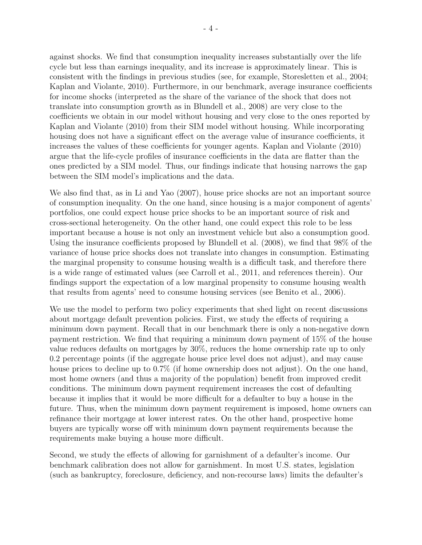against shocks. We find that consumption inequality increases substantially over the life cycle but less than earnings inequality, and its increase is approximately linear. This is consistent with the findings in previous studies (see, for example, Storesletten et al., 2004; Kaplan and Violante, 2010). Furthermore, in our benchmark, average insurance coefficients for income shocks (interpreted as the share of the variance of the shock that does not translate into consumption growth as in Blundell et al., 2008) are very close to the coefficients we obtain in our model without housing and very close to the ones reported by Kaplan and Violante (2010) from their SIM model without housing. While incorporating housing does not have a significant effect on the average value of insurance coefficients, it increases the values of these coefficients for younger agents. Kaplan and Violante (2010) argue that the life-cycle profiles of insurance coefficients in the data are flatter than the ones predicted by a SIM model. Thus, our findings indicate that housing narrows the gap between the SIM model's implications and the data.

We also find that, as in Li and Yao (2007), house price shocks are not an important source of consumption inequality. On the one hand, since housing is a major component of agents' portfolios, one could expect house price shocks to be an important source of risk and cross-sectional heterogeneity. On the other hand, one could expect this role to be less important because a house is not only an investment vehicle but also a consumption good. Using the insurance coefficients proposed by Blundell et al. (2008), we find that 98% of the variance of house price shocks does not translate into changes in consumption. Estimating the marginal propensity to consume housing wealth is a difficult task, and therefore there is a wide range of estimated values (see Carroll et al., 2011, and references therein). Our findings support the expectation of a low marginal propensity to consume housing wealth that results from agents' need to consume housing services (see Benito et al., 2006).

We use the model to perform two policy experiments that shed light on recent discussions about mortgage default prevention policies. First, we study the effects of requiring a minimum down payment. Recall that in our benchmark there is only a non-negative down payment restriction. We find that requiring a minimum down payment of 15% of the house value reduces defaults on mortgages by 30%, reduces the home ownership rate up to only 0.2 percentage points (if the aggregate house price level does not adjust), and may cause house prices to decline up to  $0.7\%$  (if home ownership does not adjust). On the one hand, most home owners (and thus a majority of the population) benefit from improved credit conditions. The minimum down payment requirement increases the cost of defaulting because it implies that it would be more difficult for a defaulter to buy a house in the future. Thus, when the minimum down payment requirement is imposed, home owners can refinance their mortgage at lower interest rates. On the other hand, prospective home buyers are typically worse off with minimum down payment requirements because the requirements make buying a house more difficult.

Second, we study the effects of allowing for garnishment of a defaulter's income. Our benchmark calibration does not allow for garnishment. In most U.S. states, legislation (such as bankruptcy, foreclosure, deficiency, and non-recourse laws) limits the defaulter's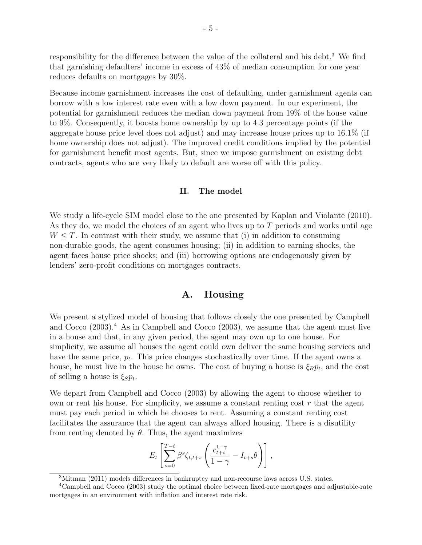responsibility for the difference between the value of the collateral and his debt.<sup>3</sup> We find that garnishing defaulters' income in excess of 43% of median consumption for one year reduces defaults on mortgages by 30%.

Because income garnishment increases the cost of defaulting, under garnishment agents can borrow with a low interest rate even with a low down payment. In our experiment, the potential for garnishment reduces the median down payment from 19% of the house value to 9%. Consequently, it boosts home ownership by up to 4.3 percentage points (if the aggregate house price level does not adjust) and may increase house prices up to 16.1% (if home ownership does not adjust). The improved credit conditions implied by the potential for garnishment benefit most agents. But, since we impose garnishment on existing debt contracts, agents who are very likely to default are worse off with this policy.

#### II. The model

We study a life-cycle SIM model close to the one presented by Kaplan and Violante (2010). As they do, we model the choices of an agent who lives up to T periods and works until age  $W \leq T$ . In contrast with their study, we assume that (i) in addition to consuming non-durable goods, the agent consumes housing; (ii) in addition to earning shocks, the agent faces house price shocks; and (iii) borrowing options are endogenously given by lenders' zero-profit conditions on mortgages contracts.

# A. Housing

We present a stylized model of housing that follows closely the one presented by Campbell and Cocco  $(2003)$ .<sup>4</sup> As in Campbell and Cocco  $(2003)$ , we assume that the agent must live in a house and that, in any given period, the agent may own up to one house. For simplicity, we assume all houses the agent could own deliver the same housing services and have the same price,  $p_t$ . This price changes stochastically over time. If the agent owns a house, he must live in the house he owns. The cost of buying a house is  $\xi_B p_t$ , and the cost of selling a house is  $\xi_{S}p_{t}$ .

We depart from Campbell and Cocco (2003) by allowing the agent to choose whether to own or rent his house. For simplicity, we assume a constant renting cost  $r$  that the agent must pay each period in which he chooses to rent. Assuming a constant renting cost facilitates the assurance that the agent can always afford housing. There is a disutility from renting denoted by  $\theta$ . Thus, the agent maximizes

$$
E_t\left[\sum_{s=0}^{T-t} \beta^s \zeta_{t,t+s}\left(\frac{c_{t+s}^{1-\gamma}}{1-\gamma}-I_{t+s}\theta\right)\right],
$$

<sup>3</sup>Mitman (2011) models differences in bankruptcy and non-recourse laws across U.S. states.

<sup>&</sup>lt;sup>4</sup>Campbell and Cocco (2003) study the optimal choice between fixed-rate mortgages and adjustable-rate mortgages in an environment with inflation and interest rate risk.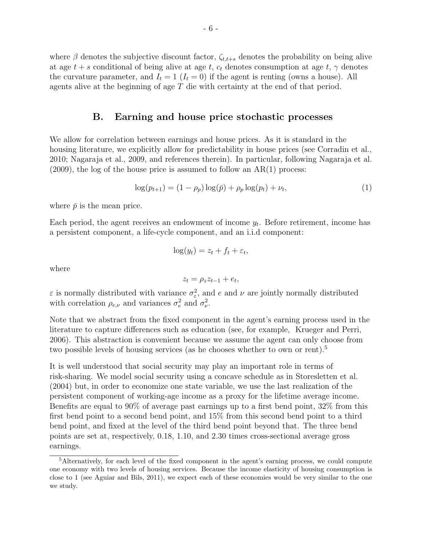where  $\beta$  denotes the subjective discount factor,  $\zeta_{t,t+s}$  denotes the probability on being alive at age  $t + s$  conditional of being alive at age t,  $c_t$  denotes consumption at age t,  $\gamma$  denotes the curvature parameter, and  $I_t = 1$   $(I_t = 0)$  if the agent is renting (owns a house). All agents alive at the beginning of age T die with certainty at the end of that period.

# B. Earning and house price stochastic processes

We allow for correlation between earnings and house prices. As it is standard in the housing literature, we explicitly allow for predictability in house prices (see Corradin et al., 2010; Nagaraja et al., 2009, and references therein). In particular, following Nagaraja et al.  $(2009)$ , the log of the house price is assumed to follow an AR(1) process:

$$
\log(p_{t+1}) = (1 - \rho_p) \log(\bar{p}) + \rho_p \log(p_t) + \nu_t,\tag{1}
$$

where  $\bar{p}$  is the mean price.

Each period, the agent receives an endowment of income  $y_t$ . Before retirement, income has a persistent component, a life-cycle component, and an i.i.d component:

$$
\log(y_t) = z_t + f_t + \varepsilon_t,
$$

where

$$
z_t = \rho_z z_{t-1} + e_t,
$$

 $\varepsilon$  is normally distributed with variance  $\sigma_{\varepsilon}^2$ , and e and  $\nu$  are jointly normally distributed with correlation  $\rho_{e,\nu}$  and variances  $\sigma_e^2$  and  $\sigma_{\nu}^2$ .

Note that we abstract from the fixed component in the agent's earning process used in the literature to capture differences such as education (see, for example, Krueger and Perri, 2006). This abstraction is convenient because we assume the agent can only choose from two possible levels of housing services (as he chooses whether to own or rent).<sup>5</sup>

It is well understood that social security may play an important role in terms of risk-sharing. We model social security using a concave schedule as in Storesletten et al. (2004) but, in order to economize one state variable, we use the last realization of the persistent component of working-age income as a proxy for the lifetime average income. Benefits are equal to 90% of average past earnings up to a first bend point, 32% from this first bend point to a second bend point, and 15% from this second bend point to a third bend point, and fixed at the level of the third bend point beyond that. The three bend points are set at, respectively, 0.18, 1.10, and 2.30 times cross-sectional average gross earnings.

<sup>5</sup>Alternatively, for each level of the fixed component in the agent's earning process, we could compute one economy with two levels of housing services. Because the income elasticity of housing consumption is close to 1 (see Aguiar and Bils, 2011), we expect each of these economies would be very similar to the one we study.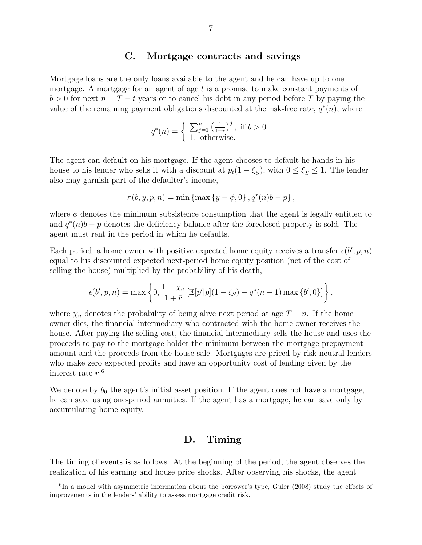### C. Mortgage contracts and savings

Mortgage loans are the only loans available to the agent and he can have up to one mortgage. A mortgage for an agent of age  $t$  is a promise to make constant payments of  $b > 0$  for next  $n = T - t$  years or to cancel his debt in any period before T by paying the value of the remaining payment obligations discounted at the risk-free rate,  $q^*(n)$ , where

$$
q^*(n) = \begin{cases} \sum_{j=1}^n \left(\frac{1}{1+\overline{r}}\right)^j, & \text{if } b > 0\\ 1, & \text{otherwise.} \end{cases}
$$

The agent can default on his mortgage. If the agent chooses to default he hands in his house to his lender who sells it with a discount at  $p_t(1-\overline{\xi}_S)$ , with  $0 \leq \overline{\xi}_S \leq 1$ . The lender also may garnish part of the defaulter's income,

$$
\pi(b, y, p, n) = \min \{ \max \{ y - \phi, 0 \}, q^*(n)b - p \},
$$

where  $\phi$  denotes the minimum subsistence consumption that the agent is legally entitled to and  $q^*(n)b - p$  denotes the deficiency balance after the foreclosed property is sold. The agent must rent in the period in which he defaults.

Each period, a home owner with positive expected home equity receives a transfer  $\epsilon(b', p, n)$ equal to his discounted expected next-period home equity position (net of the cost of selling the house) multiplied by the probability of his death,

$$
\epsilon(b', p, n) = \max \left\{ 0, \frac{1 - \chi_n}{1 + \bar{r}} \left[ \mathbb{E}[p'|p](1 - \xi_S) - q^*(n - 1) \max \{b', 0\} \right] \right\},\
$$

where  $\chi_n$  denotes the probability of being alive next period at age  $T - n$ . If the home owner dies, the financial intermediary who contracted with the home owner receives the house. After paying the selling cost, the financial intermediary sells the house and uses the proceeds to pay to the mortgage holder the minimum between the mortgage prepayment amount and the proceeds from the house sale. Mortgages are priced by risk-neutral lenders who make zero expected profits and have an opportunity cost of lending given by the interest rate  $\bar{r}$ .<sup>6</sup>

We denote by  $b_0$  the agent's initial asset position. If the agent does not have a mortgage, he can save using one-period annuities. If the agent has a mortgage, he can save only by accumulating home equity.

# D. Timing

The timing of events is as follows. At the beginning of the period, the agent observes the realization of his earning and house price shocks. After observing his shocks, the agent

<sup>&</sup>lt;sup>6</sup>In a model with asymmetric information about the borrower's type, Guler (2008) study the effects of improvements in the lenders' ability to assess mortgage credit risk.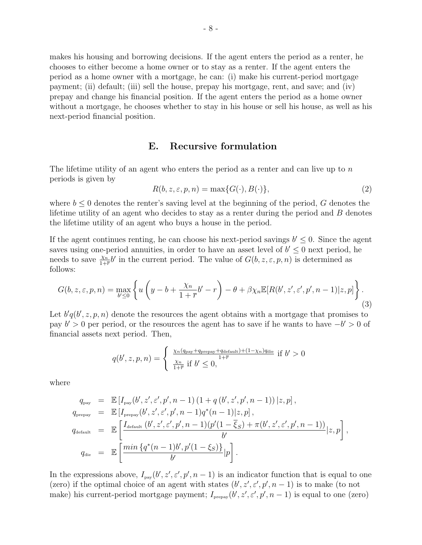makes his housing and borrowing decisions. If the agent enters the period as a renter, he chooses to either become a home owner or to stay as a renter. If the agent enters the period as a home owner with a mortgage, he can: (i) make his current-period mortgage payment; (ii) default; (iii) sell the house, prepay his mortgage, rent, and save; and (iv) prepay and change his financial position. If the agent enters the period as a home owner without a mortgage, he chooses whether to stay in his house or sell his house, as well as his next-period financial position.

### E. Recursive formulation

The lifetime utility of an agent who enters the period as a renter and can live up to  $n$ periods is given by

$$
R(b, z, \varepsilon, p, n) = \max\{G(\cdot), B(\cdot)\},\tag{2}
$$

where  $b \leq 0$  denotes the renter's saving level at the beginning of the period, G denotes the lifetime utility of an agent who decides to stay as a renter during the period and  $B$  denotes the lifetime utility of an agent who buys a house in the period.

If the agent continues renting, he can choose his next-period savings  $b' \leq 0$ . Since the agent saves using one-period annuities, in order to have an asset level of  $b' \leq 0$  next period, he needs to save  $\frac{\chi_n}{1+\overline{r}}b'$  in the current period. The value of  $G(b, z, \varepsilon, p, n)$  is determined as follows:

$$
G(b, z, \varepsilon, p, n) = \max_{b' \le 0} \left\{ u \left( y - b + \frac{\chi_n}{1 + \overline{r}} b' - r \right) - \theta + \beta \chi_n \mathbb{E}[R(b', z', \varepsilon', p', n - 1)|z, p] \right\}.
$$
\n(3)

Let  $b'q(b', z, p, n)$  denote the resources the agent obtains with a mortgage that promises to pay  $b' > 0$  per period, or the resources the agent has to save if he wants to have  $-b' > 0$  of financial assets next period. Then,

$$
q(b', z, p, n) = \begin{cases} \frac{\chi_n(q_{\text{pay}} + q_{\text{prepay}} + q_{\text{default}}) + (1 - \chi_n)q_{\text{die}}}{1 + \overline{r}} & \text{if } b' > 0\\ \frac{\chi_n}{1 + \overline{r}} & \text{if } b' \le 0, \end{cases}
$$

where

$$
q_{\text{pay}} = \mathbb{E}\left[I_{\text{pay}}(b', z', \varepsilon', p', n-1) (1 + q(b', z', p', n-1)) | z, p\right],
$$
  
\n
$$
q_{\text{prepay}} = \mathbb{E}\left[I_{\text{prepay}}(b', z', \varepsilon', p', n-1) q^*(n-1) | z, p\right],
$$
  
\n
$$
q_{\text{default}} = \mathbb{E}\left[\frac{I_{\text{default}}(b', z', \varepsilon', p', n-1) (p'(1 - \overline{\xi}_S) + \pi(b', z', \varepsilon', p', n-1))}{b'} | z, p\right],
$$
  
\n
$$
q_{\text{die}} = \mathbb{E}\left[\frac{\min\{q^*(n-1)b', p'(1 - \xi_S)\}}{b'} | p\right].
$$

In the expressions above,  $I_{\text{pay}}(b', z', \varepsilon', p', n-1)$  is an indicator function that is equal to one (zero) if the optimal choice of an agent with states  $(b', z', \varepsilon', p', n-1)$  is to make (to not make) his current-period mortgage payment;  $I_{\text{prepay}}(b', z', \varepsilon', p', n-1)$  is equal to one (zero)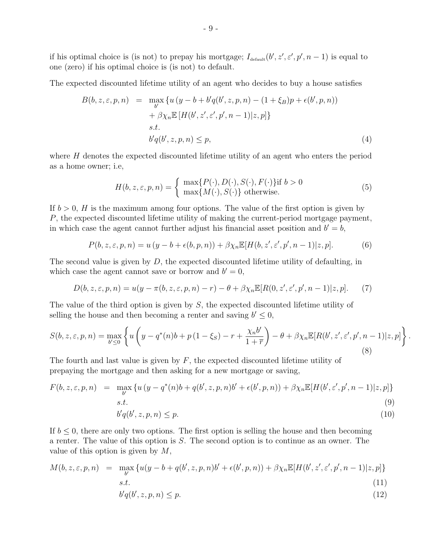if his optimal choice is (is not) to prepay his mortgage;  $I_{\text{default}}(b', z', \varepsilon', p', n-1)$  is equal to one (zero) if his optimal choice is (is not) to default.

The expected discounted lifetime utility of an agent who decides to buy a house satisfies

$$
B(b, z, \varepsilon, p, n) = \max_{b'} \{ u (y - b + b'q(b', z, p, n) - (1 + \xi_B)p + \varepsilon(b', p, n)) + \beta \chi_n \mathbb{E}[H(b', z', \varepsilon', p', n - 1)|z, p] \}s.t. b'q(b', z, p, n) \le p,
$$
 (4)

where H denotes the expected discounted lifetime utility of an agent who enters the period as a home owner; i.e,

$$
H(b, z, \varepsilon, p, n) = \begin{cases} \max\{P(\cdot), D(\cdot), S(\cdot), F(\cdot)\} & \text{if } b > 0\\ \max\{M(\cdot), S(\cdot)\} & \text{otherwise.} \end{cases}
$$
(5)

If  $b > 0$ , H is the maximum among four options. The value of the first option is given by P, the expected discounted lifetime utility of making the current-period mortgage payment, in which case the agent cannot further adjust his financial asset position and  $b' = b$ ,

$$
P(b, z, \varepsilon, p, n) = u(y - b + \epsilon(b, p, n)) + \beta \chi_n \mathbb{E}[H(b, z', \varepsilon', p', n-1)|z, p]. \tag{6}
$$

The second value is given by  $D$ , the expected discounted lifetime utility of defaulting, in which case the agent cannot save or borrow and  $b' = 0$ ,

$$
D(b, z, \varepsilon, p, n) = u(y - \pi(b, z, \varepsilon, p, n) - r) - \theta + \beta \chi_n \mathbb{E}[R(0, z', \varepsilon', p', n-1)|z, p]. \tag{7}
$$

The value of the third option is given by S, the expected discounted lifetime utility of selling the house and then becoming a renter and saving  $b' \leq 0$ ,

$$
S(b, z, \varepsilon, p, n) = \max_{b' \le 0} \left\{ u \left( y - q^*(n)b + p(1 - \xi_S) - r + \frac{\chi_n b'}{1 + \overline{r}} \right) - \theta + \beta \chi_n \mathbb{E}[R(b', z', \varepsilon', p', n - 1)|z, p] \right\}
$$
(8)

.

The fourth and last value is given by  $F$ , the expected discounted lifetime utility of prepaying the mortgage and then asking for a new mortgage or saving,

$$
F(b, z, \varepsilon, p, n) = \max_{b'} \{ u (y - q^*(n)b + q(b', z, p, n)b' + \varepsilon(b', p, n)) + \beta \chi_n \mathbb{E}[H(b', \varepsilon', p', n-1)|z, p] \}
$$
  
s.t.  

$$
b'q(b', z, p, n) \le p.
$$
 (10)

If  $b \leq 0$ , there are only two options. The first option is selling the house and then becoming a renter. The value of this option is S. The second option is to continue as an owner. The value of this option is given by  $M$ ,

$$
M(b, z, \varepsilon, p, n) = \max_{b'} \{ u(y - b + q(b', z, p, n)b' + \epsilon(b', p, n)) + \beta \chi_n \mathbb{E}[H(b', z', \varepsilon', p', n-1)|z, p] \}
$$
  
s.t. (11)  

$$
b'_{\alpha}(b', z, p, n) \leq p
$$

$$
b'q(b',z,p,n) \le p. \tag{12}
$$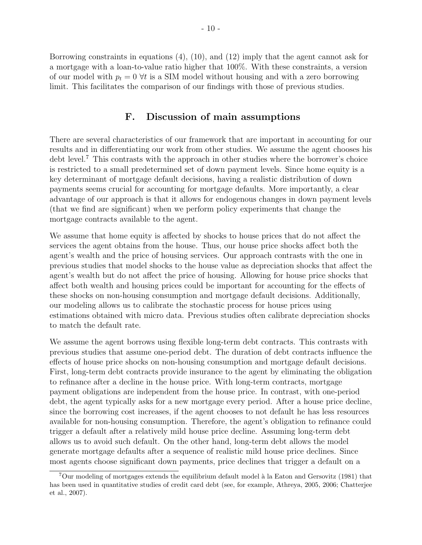Borrowing constraints in equations (4), (10), and (12) imply that the agent cannot ask for a mortgage with a loan-to-value ratio higher that 100%. With these constraints, a version of our model with  $p_t = 0$   $\forall t$  is a SIM model without housing and with a zero borrowing limit. This facilitates the comparison of our findings with those of previous studies.

# F. Discussion of main assumptions

There are several characteristics of our framework that are important in accounting for our results and in differentiating our work from other studies. We assume the agent chooses his debt level.<sup>7</sup> This contrasts with the approach in other studies where the borrower's choice is restricted to a small predetermined set of down payment levels. Since home equity is a key determinant of mortgage default decisions, having a realistic distribution of down payments seems crucial for accounting for mortgage defaults. More importantly, a clear advantage of our approach is that it allows for endogenous changes in down payment levels (that we find are significant) when we perform policy experiments that change the mortgage contracts available to the agent.

We assume that home equity is affected by shocks to house prices that do not affect the services the agent obtains from the house. Thus, our house price shocks affect both the agent's wealth and the price of housing services. Our approach contrasts with the one in previous studies that model shocks to the house value as depreciation shocks that affect the agent's wealth but do not affect the price of housing. Allowing for house price shocks that affect both wealth and housing prices could be important for accounting for the effects of these shocks on non-housing consumption and mortgage default decisions. Additionally, our modeling allows us to calibrate the stochastic process for house prices using estimations obtained with micro data. Previous studies often calibrate depreciation shocks to match the default rate.

We assume the agent borrows using flexible long-term debt contracts. This contrasts with previous studies that assume one-period debt. The duration of debt contracts influence the effects of house price shocks on non-housing consumption and mortgage default decisions. First, long-term debt contracts provide insurance to the agent by eliminating the obligation to refinance after a decline in the house price. With long-term contracts, mortgage payment obligations are independent from the house price. In contrast, with one-period debt, the agent typically asks for a new mortgage every period. After a house price decline, since the borrowing cost increases, if the agent chooses to not default he has less resources available for non-housing consumption. Therefore, the agent's obligation to refinance could trigger a default after a relatively mild house price decline. Assuming long-term debt allows us to avoid such default. On the other hand, long-term debt allows the model generate mortgage defaults after a sequence of realistic mild house price declines. Since most agents choose significant down payments, price declines that trigger a default on a

 $7$ Our modeling of mortgages extends the equilibrium default model à la Eaton and Gersovitz (1981) that has been used in quantitative studies of credit card debt (see, for example, Athreya, 2005, 2006; Chatterjee et al., 2007).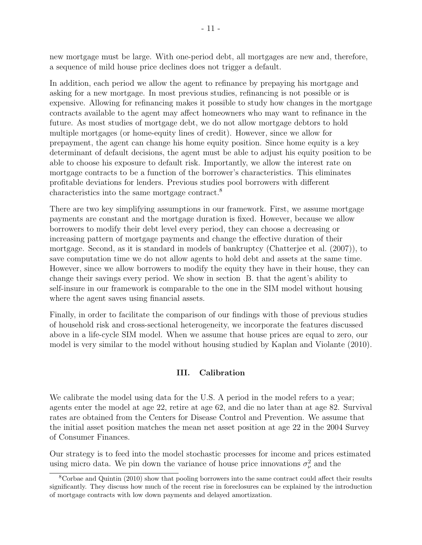new mortgage must be large. With one-period debt, all mortgages are new and, therefore, a sequence of mild house price declines does not trigger a default.

In addition, each period we allow the agent to refinance by prepaying his mortgage and asking for a new mortgage. In most previous studies, refinancing is not possible or is expensive. Allowing for refinancing makes it possible to study how changes in the mortgage contracts available to the agent may affect homeowners who may want to refinance in the future. As most studies of mortgage debt, we do not allow mortgage debtors to hold multiple mortgages (or home-equity lines of credit). However, since we allow for prepayment, the agent can change his home equity position. Since home equity is a key determinant of default decisions, the agent must be able to adjust his equity position to be able to choose his exposure to default risk. Importantly, we allow the interest rate on mortgage contracts to be a function of the borrower's characteristics. This eliminates profitable deviations for lenders. Previous studies pool borrowers with different characteristics into the same mortgage contract.<sup>8</sup>

There are two key simplifying assumptions in our framework. First, we assume mortgage payments are constant and the mortgage duration is fixed. However, because we allow borrowers to modify their debt level every period, they can choose a decreasing or increasing pattern of mortgage payments and change the effective duration of their mortgage. Second, as it is standard in models of bankruptcy (Chatterjee et al. (2007)), to save computation time we do not allow agents to hold debt and assets at the same time. However, since we allow borrowers to modify the equity they have in their house, they can change their savings every period. We show in section B. that the agent's ability to self-insure in our framework is comparable to the one in the SIM model without housing where the agent saves using financial assets.

Finally, in order to facilitate the comparison of our findings with those of previous studies of household risk and cross-sectional heterogeneity, we incorporate the features discussed above in a life-cycle SIM model. When we assume that house prices are equal to zero, our model is very similar to the model without housing studied by Kaplan and Violante (2010).

# III. Calibration

We calibrate the model using data for the U.S. A period in the model refers to a year; agents enter the model at age 22, retire at age 62, and die no later than at age 82. Survival rates are obtained from the Centers for Disease Control and Prevention. We assume that the initial asset position matches the mean net asset position at age 22 in the 2004 Survey of Consumer Finances.

Our strategy is to feed into the model stochastic processes for income and prices estimated using micro data. We pin down the variance of house price innovations  $\sigma_{\nu}^2$  and the

<sup>8</sup>Corbae and Quintin (2010) show that pooling borrowers into the same contract could affect their results significantly. They discuss how much of the recent rise in foreclosures can be explained by the introduction of mortgage contracts with low down payments and delayed amortization.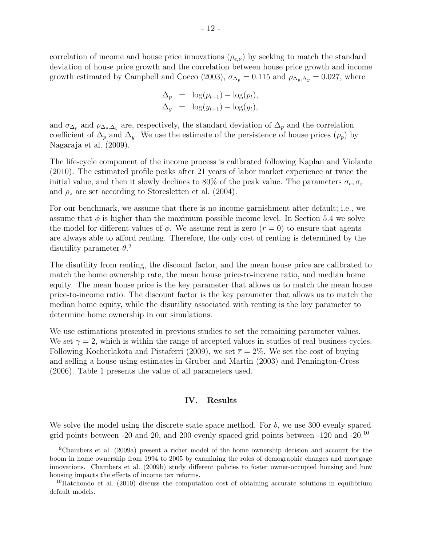correlation of income and house price innovations  $(\rho_{e,\nu})$  by seeking to match the standard deviation of house price growth and the correlation between house price growth and income growth estimated by Campbell and Cocco (2003),  $\sigma_{\Delta_p} = 0.115$  and  $\rho_{\Delta_p,\Delta_q} = 0.027$ , where

$$
\Delta_p = \log(p_{t+1}) - \log(p_t),
$$
  

$$
\Delta_y = \log(y_{t+1}) - \log(y_t),
$$

and  $\sigma_{\Delta_p}$  and  $\rho_{\Delta_p,\Delta_y}$  are, respectively, the standard deviation of  $\Delta_p$  and the correlation coefficient of  $\Delta_p$  and  $\Delta_y$ . We use the estimate of the persistence of house prices  $(\rho_p)$  by Nagaraja et al. (2009).

The life-cycle component of the income process is calibrated following Kaplan and Violante (2010). The estimated profile peaks after 21 years of labor market experience at twice the initial value, and then it slowly declines to 80% of the peak value. The parameters  $\sigma_e$ ,  $\sigma_{\epsilon}$ and  $\rho_z$  are set according to Storesletten et al. (2004).

For our benchmark, we assume that there is no income garnishment after default; i.e., we assume that  $\phi$  is higher than the maximum possible income level. In Section 5.4 we solve the model for different values of  $\phi$ . We assume rent is zero  $(r = 0)$  to ensure that agents are always able to afford renting. Therefore, the only cost of renting is determined by the disutility parameter  $\theta$ .<sup>9</sup>

The disutility from renting, the discount factor, and the mean house price are calibrated to match the home ownership rate, the mean house price-to-income ratio, and median home equity. The mean house price is the key parameter that allows us to match the mean house price-to-income ratio. The discount factor is the key parameter that allows us to match the median home equity, while the disutility associated with renting is the key parameter to determine home ownership in our simulations.

We use estimations presented in previous studies to set the remaining parameter values. We set  $\gamma = 2$ , which is within the range of accepted values in studies of real business cycles. Following Kocherlakota and Pistaferri (2009), we set  $\bar{r} = 2\%$ . We set the cost of buying and selling a house using estimates in Gruber and Martin (2003) and Pennington-Cross (2006). Table 1 presents the value of all parameters used.

#### IV. Results

We solve the model using the discrete state space method. For  $b$ , we use 300 evenly spaced grid points between -20 and 20, and 200 evenly spaced grid points between -120 and -20.<sup>10</sup>

<sup>9</sup>Chambers et al. (2009a) present a richer model of the home ownership decision and account for the boom in home ownership from 1994 to 2005 by examining the roles of demographic changes and mortgage innovations. Chambers et al. (2009b) study different policies to foster owner-occupied housing and how housing impacts the effects of income tax reforms.

 $10H$ atchondo et al. (2010) discuss the computation cost of obtaining accurate solutions in equilibrium default models.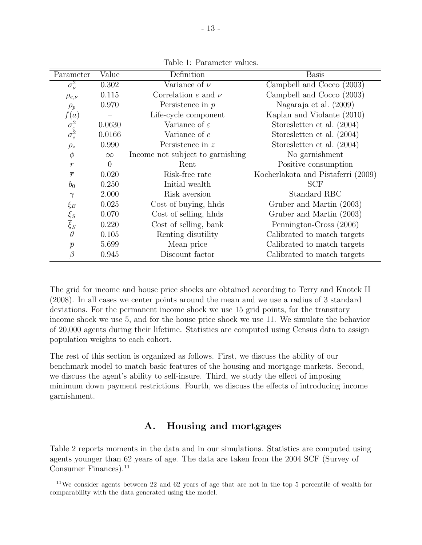| Parameter                                 | Value    | Definition                       | <b>Basis</b>                       |
|-------------------------------------------|----------|----------------------------------|------------------------------------|
| $\sigma_{\nu}^2$                          | 0.302    | Variance of $\nu$                | Campbell and Cocco (2003)          |
| $\rho_{e,\nu}$                            | 0.115    | Correlation e and $\nu$          | Campbell and Cocco (2003)          |
| $\rho_p$                                  | 0.970    | Persistence in $p$               | Nagaraja et al. (2009)             |
| f(a)                                      |          | Life-cycle component             | Kaplan and Violante (2010)         |
| $\sigma_{\varepsilon}^2 \over \sigma_e^2$ | 0.0630   | Variance of $\varepsilon$        | Storesletten et al. (2004)         |
|                                           | 0.0166   | Variance of $e$                  | Storesletten et al. (2004)         |
| $\rho_z$                                  | 0.990    | Persistence in z                 | Storesletten et al. (2004)         |
| $\phi$                                    | $\infty$ | Income not subject to garnishing | No garnishment                     |
| $\mathcal{r}$                             | $\theta$ | Rent                             | Positive consumption               |
| $\overline{r}$                            | 0.020    | Risk-free rate                   | Kocherlakota and Pistaferri (2009) |
| b <sub>0</sub>                            | 0.250    | Initial wealth                   | <b>SCF</b>                         |
| $\gamma$                                  | 2.000    | Risk aversion                    | Standard RBC                       |
|                                           | 0.025    | Cost of buying, hhds             | Gruber and Martin (2003)           |
|                                           | 0.070    | Cost of selling, hhds            | Gruber and Martin (2003)           |
| $\xi_B$<br>$\xi_S$<br>$\xi_S$             | 0.220    | Cost of selling, bank            | Pennington-Cross (2006)            |
| $\theta$                                  | 0.105    | Renting disutility               | Calibrated to match targets        |
| $\overline{p}$                            | 5.699    | Mean price                       | Calibrated to match targets        |
|                                           | 0.945    | Discount factor                  | Calibrated to match targets        |

Table 1: Parameter values.

The grid for income and house price shocks are obtained according to Terry and Knotek II (2008). In all cases we center points around the mean and we use a radius of 3 standard deviations. For the permanent income shock we use 15 grid points, for the transitory income shock we use 5, and for the house price shock we use 11. We simulate the behavior of 20,000 agents during their lifetime. Statistics are computed using Census data to assign population weights to each cohort.

The rest of this section is organized as follows. First, we discuss the ability of our benchmark model to match basic features of the housing and mortgage markets. Second, we discuss the agent's ability to self-insure. Third, we study the effect of imposing minimum down payment restrictions. Fourth, we discuss the effects of introducing income garnishment.

# A. Housing and mortgages

Table 2 reports moments in the data and in our simulations. Statistics are computed using agents younger than 62 years of age. The data are taken from the 2004 SCF (Survey of Consumer Finances). $^{11}$ 

<sup>11</sup>We consider agents between 22 and 62 years of age that are not in the top 5 percentile of wealth for comparability with the data generated using the model.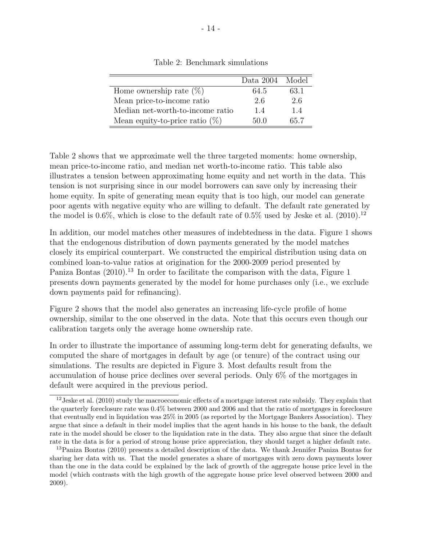|                                   | Data 2004 | Model |
|-----------------------------------|-----------|-------|
| Home ownership rate $(\%)$        | 64.5      | 63.1  |
| Mean price-to-income ratio        | 2.6       | 2.6   |
| Median net-worth-to-income ratio  | 1.4       | 1.4   |
| Mean equity-to-price ratio $(\%)$ | 50 0      | 65.7  |

Table 2: Benchmark simulations

Table 2 shows that we approximate well the three targeted moments: home ownership, mean price-to-income ratio, and median net worth-to-income ratio. This table also illustrates a tension between approximating home equity and net worth in the data. This tension is not surprising since in our model borrowers can save only by increasing their home equity. In spite of generating mean equity that is too high, our model can generate poor agents with negative equity who are willing to default. The default rate generated by the model is  $0.6\%$ , which is close to the default rate of  $0.5\%$  used by Jeske et al. (2010).<sup>12</sup>

In addition, our model matches other measures of indebtedness in the data. Figure 1 shows that the endogenous distribution of down payments generated by the model matches closely its empirical counterpart. We constructed the empirical distribution using data on combined loan-to-value ratios at origination for the 2000-2009 period presented by Paniza Bontas (2010).<sup>13</sup> In order to facilitate the comparison with the data, Figure 1 presents down payments generated by the model for home purchases only (i.e., we exclude down payments paid for refinancing).

Figure 2 shows that the model also generates an increasing life-cycle profile of home ownership, similar to the one observed in the data. Note that this occurs even though our calibration targets only the average home ownership rate.

In order to illustrate the importance of assuming long-term debt for generating defaults, we computed the share of mortgages in default by age (or tenure) of the contract using our simulations. The results are depicted in Figure 3. Most defaults result from the accumulation of house price declines over several periods. Only 6% of the mortgages in default were acquired in the previous period.

<sup>&</sup>lt;sup>12</sup> Jeske et al. (2010) study the macroeconomic effects of a mortgage interest rate subsidy. They explain that the quarterly foreclosure rate was 0.4% between 2000 and 2006 and that the ratio of mortgages in foreclosure that eventually end in liquidation was 25% in 2005 (as reported by the Mortgage Bankers Association). They argue that since a default in their model implies that the agent hands in his house to the bank, the default rate in the model should be closer to the liquidation rate in the data. They also argue that since the default rate in the data is for a period of strong house price appreciation, they should target a higher default rate.

<sup>13</sup>Paniza Bontas (2010) presents a detailed description of the data. We thank Jennifer Paniza Bontas for sharing her data with us. That the model generates a share of mortgages with zero down payments lower than the one in the data could be explained by the lack of growth of the aggregate house price level in the model (which contrasts with the high growth of the aggregate house price level observed between 2000 and 2009).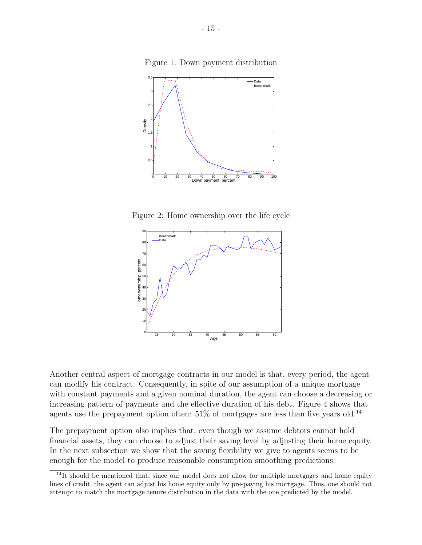Figure 1: Down payment distribution



Figure 2: Home ownership over the life cycle



Another central aspect of mortgage contracts in our model is that, every period, the agent can modify his contract. Consequently, in spite of our assumption of a unique mortgage with constant payments and a given nominal duration, the agent can choose a decreasing or increasing pattern of payments and the effective duration of his debt. Figure 4 shows that agents use the prepayment option often:  $51\%$  of mortgages are less than five years old.<sup>14</sup>

The prepayment option also implies that, even though we assume debtors cannot hold financial assets, they can choose to adjust their saving level by adjusting their home equity. In the next subsection we show that the saving flexibility we give to agents seems to be enough for the model to produce reasonable consumption smoothing predictions.

 $14$ It should be mentioned that, since our model does not allow for multiple mortgages and home equity lines of credit, the agent can adjust his home equity only by pre-paying his mortgage. Thus, one should not attempt to match the mortgage tenure distribution in the data with the one predicted by the model.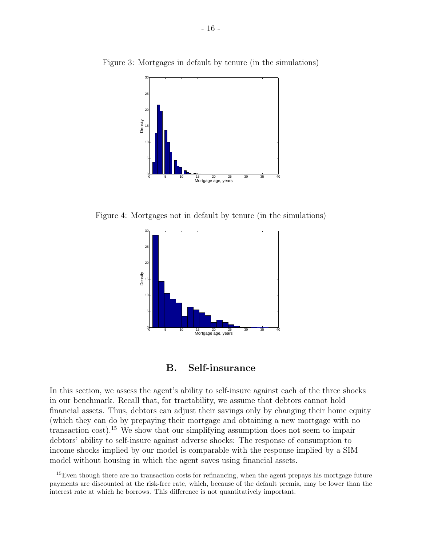

Figure 3: Mortgages in default by tenure (in the simulations)

Figure 4: Mortgages not in default by tenure (in the simulations)





In this section, we assess the agent's ability to self-insure against each of the three shocks in our benchmark. Recall that, for tractability, we assume that debtors cannot hold financial assets. Thus, debtors can adjust their savings only by changing their home equity (which they can do by prepaying their mortgage and obtaining a new mortgage with no transaction cost).<sup>15</sup> We show that our simplifying assumption does not seem to impair debtors' ability to self-insure against adverse shocks: The response of consumption to income shocks implied by our model is comparable with the response implied by a SIM model without housing in which the agent saves using financial assets.

<sup>&</sup>lt;sup>15</sup>Even though there are no transaction costs for refinancing, when the agent prepays his mortgage future payments are discounted at the risk-free rate, which, because of the default premia, may be lower than the interest rate at which he borrows. This difference is not quantitatively important.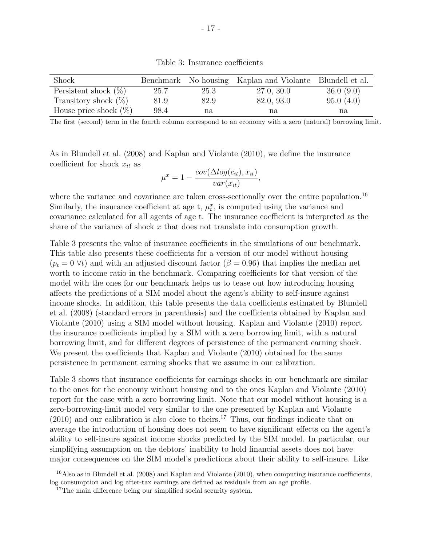| Shock                    |      |      | Benchmark No housing Kaplan and Violante Blundell et al. |           |
|--------------------------|------|------|----------------------------------------------------------|-----------|
| Persistent shock $(\%)$  | 25.7 | 25.3 | 27.0, 30.0                                               | 36.0(9.0) |
| Transitory shock $(\%)$  | 81.9 | 82.9 | 82.0, 93.0                                               | 95.0(4.0) |
| House price shock $(\%)$ | 98.4 | na   | na                                                       | na        |

Table 3: Insurance coefficients

The first (second) term in the fourth column correspond to an economy with a zero (natural) borrowing limit.

As in Blundell et al. (2008) and Kaplan and Violante (2010), we define the insurance coefficient for shock  $x_{it}$  as

$$
\mu^x = 1 - \frac{cov(\Delta log(c_{it}), x_{it})}{var(x_{it})},
$$

where the variance and covariance are taken cross-sectionally over the entire population.<sup>16</sup> Similarly, the insurance coefficient at age t,  $\mu_t^x$ , is computed using the variance and covariance calculated for all agents of age t. The insurance coefficient is interpreted as the share of the variance of shock  $x$  that does not translate into consumption growth.

Table 3 presents the value of insurance coefficients in the simulations of our benchmark. This table also presents these coefficients for a version of our model without housing  $(p_t = 0 \forall t)$  and with an adjusted discount factor  $(\beta = 0.96)$  that implies the median net worth to income ratio in the benchmark. Comparing coefficients for that version of the model with the ones for our benchmark helps us to tease out how introducing housing affects the predictions of a SIM model about the agent's ability to self-insure against income shocks. In addition, this table presents the data coefficients estimated by Blundell et al. (2008) (standard errors in parenthesis) and the coefficients obtained by Kaplan and Violante (2010) using a SIM model without housing. Kaplan and Violante (2010) report the insurance coefficients implied by a SIM with a zero borrowing limit, with a natural borrowing limit, and for different degrees of persistence of the permanent earning shock. We present the coefficients that Kaplan and Violante (2010) obtained for the same persistence in permanent earning shocks that we assume in our calibration.

Table 3 shows that insurance coefficients for earnings shocks in our benchmark are similar to the ones for the economy without housing and to the ones Kaplan and Violante (2010) report for the case with a zero borrowing limit. Note that our model without housing is a zero-borrowing-limit model very similar to the one presented by Kaplan and Violante  $(2010)$  and our calibration is also close to theirs.<sup>17</sup> Thus, our findings indicate that on average the introduction of housing does not seem to have significant effects on the agent's ability to self-insure against income shocks predicted by the SIM model. In particular, our simplifying assumption on the debtors' inability to hold financial assets does not have major consequences on the SIM model's predictions about their ability to self-insure. Like

 $16$ Also as in Blundell et al. (2008) and Kaplan and Violante (2010), when computing insurance coefficients, log consumption and log after-tax earnings are defined as residuals from an age profile.

<sup>&</sup>lt;sup>17</sup>The main difference being our simplified social security system.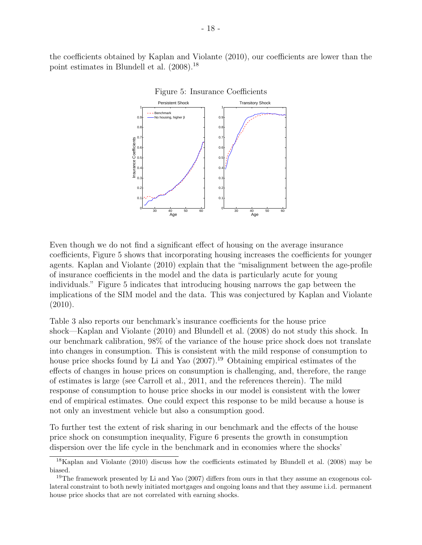the coefficients obtained by Kaplan and Violante (2010), our coefficients are lower than the point estimates in Blundell et al. (2008).<sup>18</sup>





Even though we do not find a significant effect of housing on the average insurance coefficients, Figure 5 shows that incorporating housing increases the coefficients for younger agents. Kaplan and Violante (2010) explain that the "misalignment between the age-profile of insurance coefficients in the model and the data is particularly acute for young individuals." Figure 5 indicates that introducing housing narrows the gap between the implications of the SIM model and the data. This was conjectured by Kaplan and Violante (2010).

Table 3 also reports our benchmark's insurance coefficients for the house price shock—Kaplan and Violante (2010) and Blundell et al. (2008) do not study this shock. In our benchmark calibration, 98% of the variance of the house price shock does not translate into changes in consumption. This is consistent with the mild response of consumption to house price shocks found by Li and Yao  $(2007)^{19}$  Obtaining empirical estimates of the effects of changes in house prices on consumption is challenging, and, therefore, the range of estimates is large (see Carroll et al., 2011, and the references therein). The mild response of consumption to house price shocks in our model is consistent with the lower end of empirical estimates. One could expect this response to be mild because a house is not only an investment vehicle but also a consumption good.

To further test the extent of risk sharing in our benchmark and the effects of the house price shock on consumption inequality, Figure 6 presents the growth in consumption dispersion over the life cycle in the benchmark and in economies where the shocks'

 $18$ Kaplan and Violante (2010) discuss how the coefficients estimated by Blundell et al. (2008) may be biased.

<sup>&</sup>lt;sup>19</sup>The framework presented by Li and Yao (2007) differs from ours in that they assume an exogenous collateral constraint to both newly initiated mortgages and ongoing loans and that they assume i.i.d. permanent house price shocks that are not correlated with earning shocks.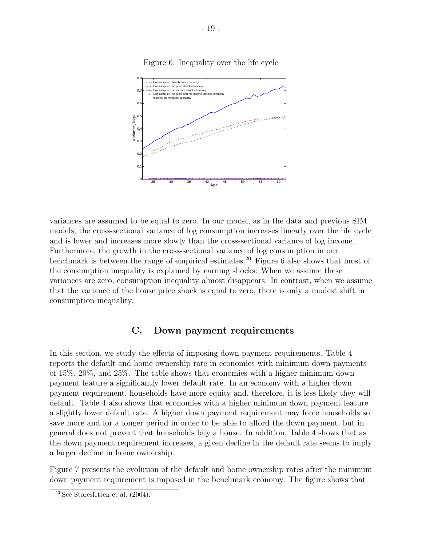

Figure 6: Inequality over the life cycle

variances are assumed to be equal to zero. In our model, as in the data and previous SIM models, the cross-sectional variance of log consumption increases linearly over the life cycle and is lower and increases more slowly than the cross-sectional variance of log income. Furthermore, the growth in the cross-sectional variance of log consumption in our benchmark is between the range of empirical estimates.<sup>20</sup> Figure 6 also shows that most of the consumption inequality is explained by earning shocks: When we assume these variances are zero, consumption inequality almost disappears. In contrast, when we assume that the variance of the house price shock is equal to zero, there is only a modest shift in consumption inequality.

# C. Down payment requirements

In this section, we study the effects of imposing down payment requirements. Table 4 reports the default and home ownership rate in economies with minimum down payments of 15%, 20%, and 25%. The table shows that economies with a higher minimum down payment feature a significantly lower default rate. In an economy with a higher down payment requirement, households have more equity and, therefore, it is less likely they will default. Table 4 also shows that economies with a higher minimum down payment feature a slightly lower default rate. A higher down payment requirement may force households so save more and for a longer period in order to be able to afford the down payment, but in general does not prevent that households buy a house. In addition, Table 4 shows that as the down payment requirement increases, a given decline in the default rate seems to imply a larger decline in home ownership.

Figure 7 presents the evolution of the default and home ownership rates after the minimum down payment requirement is imposed in the benchmark economy. The figure shows that

 $20$ See Storesletten et al.  $(2004)$ .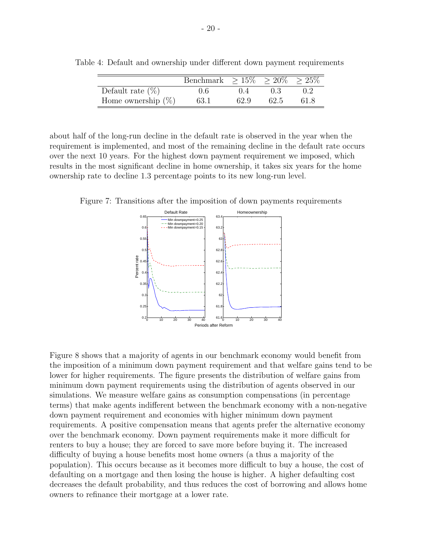|                       | Benchmark $> 15\% > 20\% > 25\%$ |      |      |      |
|-----------------------|----------------------------------|------|------|------|
| Default rate $(\%)$   | 0.6                              |      |      |      |
| Home ownership $(\%)$ | 63.1                             | 62.9 | 62.5 | 61.8 |

Table 4: Default and ownership under different down payment requirements

about half of the long-run decline in the default rate is observed in the year when the requirement is implemented, and most of the remaining decline in the default rate occurs over the next 10 years. For the highest down payment requirement we imposed, which results in the most significant decline in home ownership, it takes six years for the home ownership rate to decline 1.3 percentage points to its new long-run level.

Figure 7: Transitions after the imposition of down payments requirements



Figure 8 shows that a majority of agents in our benchmark economy would benefit from the imposition of a minimum down payment requirement and that welfare gains tend to be lower for higher requirements. The figure presents the distribution of welfare gains from minimum down payment requirements using the distribution of agents observed in our simulations. We measure welfare gains as consumption compensations (in percentage terms) that make agents indifferent between the benchmark economy with a non-negative down payment requirement and economies with higher minimum down payment requirements. A positive compensation means that agents prefer the alternative economy over the benchmark economy. Down payment requirements make it more difficult for renters to buy a house; they are forced to save more before buying it. The increased difficulty of buying a house benefits most home owners (a thus a majority of the population). This occurs because as it becomes more difficult to buy a house, the cost of defaulting on a mortgage and then losing the house is higher. A higher defaulting cost decreases the default probability, and thus reduces the cost of borrowing and allows home owners to refinance their mortgage at a lower rate.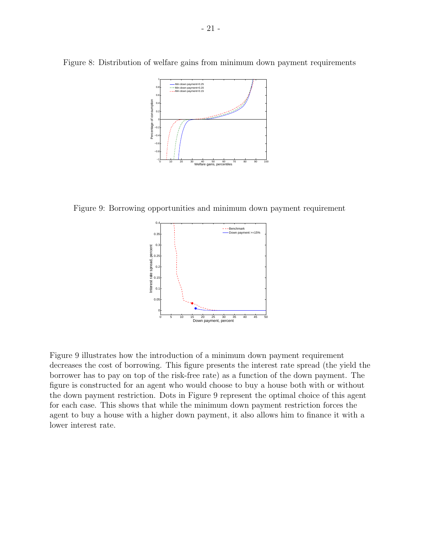

Figure 8: Distribution of welfare gains from minimum down payment requirements

Figure 9: Borrowing opportunities and minimum down payment requirement



Figure 9 illustrates how the introduction of a minimum down payment requirement decreases the cost of borrowing. This figure presents the interest rate spread (the yield the borrower has to pay on top of the risk-free rate) as a function of the down payment. The figure is constructed for an agent who would choose to buy a house both with or without the down payment restriction. Dots in Figure 9 represent the optimal choice of this agent for each case. This shows that while the minimum down payment restriction forces the agent to buy a house with a higher down payment, it also allows him to finance it with a lower interest rate.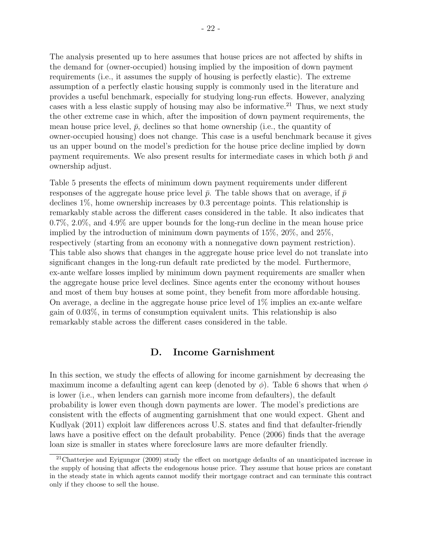The analysis presented up to here assumes that house prices are not affected by shifts in the demand for (owner-occupied) housing implied by the imposition of down payment requirements (i.e., it assumes the supply of housing is perfectly elastic). The extreme assumption of a perfectly elastic housing supply is commonly used in the literature and provides a useful benchmark, especially for studying long-run effects. However, analyzing cases with a less elastic supply of housing may also be informative.<sup>21</sup> Thus, we next study the other extreme case in which, after the imposition of down payment requirements, the mean house price level,  $\bar{p}$ , declines so that home ownership (i.e., the quantity of owner-occupied housing) does not change. This case is a useful benchmark because it gives us an upper bound on the model's prediction for the house price decline implied by down payment requirements. We also present results for intermediate cases in which both  $\bar{p}$  and ownership adjust.

Table 5 presents the effects of minimum down payment requirements under different responses of the aggregate house price level  $\bar{p}$ . The table shows that on average, if  $\bar{p}$ declines 1%, home ownership increases by 0.3 percentage points. This relationship is remarkably stable across the different cases considered in the table. It also indicates that 0.7%, 2.0%, and 4.9% are upper bounds for the long-run decline in the mean house price implied by the introduction of minimum down payments of 15%, 20%, and 25%, respectively (starting from an economy with a nonnegative down payment restriction). This table also shows that changes in the aggregate house price level do not translate into significant changes in the long-run default rate predicted by the model. Furthermore, ex-ante welfare losses implied by minimum down payment requirements are smaller when the aggregate house price level declines. Since agents enter the economy without houses and most of them buy houses at some point, they benefit from more affordable housing. On average, a decline in the aggregate house price level of  $1\%$  implies an ex-ante welfare gain of 0.03%, in terms of consumption equivalent units. This relationship is also remarkably stable across the different cases considered in the table.

# D. Income Garnishment

In this section, we study the effects of allowing for income garnishment by decreasing the maximum income a defaulting agent can keep (denoted by  $\phi$ ). Table 6 shows that when  $\phi$ is lower (i.e., when lenders can garnish more income from defaulters), the default probability is lower even though down payments are lower. The model's predictions are consistent with the effects of augmenting garnishment that one would expect. Ghent and Kudlyak (2011) exploit law differences across U.S. states and find that defaulter-friendly laws have a positive effect on the default probability. Pence (2006) finds that the average loan size is smaller in states where foreclosure laws are more defaulter friendly.

<sup>21</sup>Chatterjee and Eyigungor (2009) study the effect on mortgage defaults of an unanticipated increase in the supply of housing that affects the endogenous house price. They assume that house prices are constant in the steady state in which agents cannot modify their mortgage contract and can terminate this contract only if they choose to sell the house.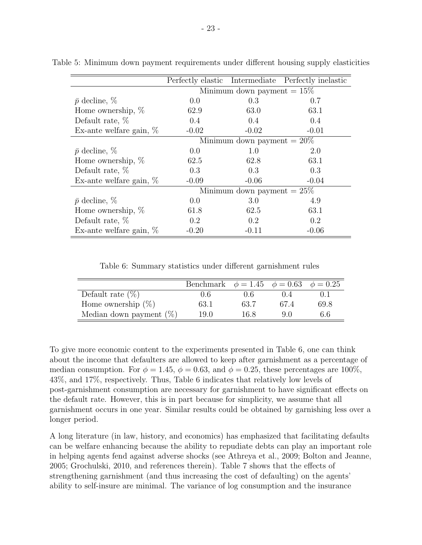|                            |                               |                               | Perfectly elastic Intermediate Perfectly inelastic |  |  |
|----------------------------|-------------------------------|-------------------------------|----------------------------------------------------|--|--|
|                            | Minimum down payment $= 15\%$ |                               |                                                    |  |  |
| $\bar{p}$ decline, $\%$    | 0.0                           | 0.3                           | 0.7                                                |  |  |
| Home ownership, $\%$       | 62.9                          | 63.0                          | 63.1                                               |  |  |
| Default rate, $%$          | $0.4^{\circ}$                 | 0.4                           | $0.4^{\circ}$                                      |  |  |
| Ex-ante welfare gain, $\%$ | $-0.02$                       | $-0.02$                       | $-0.01$                                            |  |  |
|                            |                               | Minimum down payment $= 20\%$ |                                                    |  |  |
| $\bar{p}$ decline, $\%$    | 0.0                           | $1.0\,$                       | 2.0                                                |  |  |
| Home ownership, $%$        | 62.5                          | 62.8                          | 63.1                                               |  |  |
| Default rate, $%$          | 0.3                           | 0.3                           | 0.3                                                |  |  |
| Ex-ante welfare gain, $\%$ | $-0.09$                       | $-0.06$                       | $-0.04$                                            |  |  |
|                            |                               | Minimum down payment $= 25\%$ |                                                    |  |  |
| $\bar{p}$ decline, $\%$    | 0.0                           | 3.0                           | 4.9                                                |  |  |
| Home ownership, $%$        | 61.8                          | 62.5                          | 63.1                                               |  |  |
| Default rate, $%$          | 0.2                           | 0.2                           | 0.2                                                |  |  |
| Ex-ante welfare gain, $%$  | $-0.20$                       | $-0.11$                       | $-0.06$                                            |  |  |

Table 5: Minimum down payment requirements under different housing supply elasticities

Table 6: Summary statistics under different garnishment rules

|                            | Benchmark $\phi = 1.45$ $\phi = 0.63$ $\phi = 0.25$ |      |      |      |
|----------------------------|-----------------------------------------------------|------|------|------|
| Default rate $(\%)$        | 0.6                                                 | 06   |      |      |
| Home ownership $(\%)$      | 63.1                                                | 63.7 | 67 4 | 69.8 |
| Median down payment $(\%)$ | 19.0                                                | 16.8 | 9 O  | 6.6  |

To give more economic content to the experiments presented in Table 6, one can think about the income that defaulters are allowed to keep after garnishment as a percentage of median consumption. For  $\phi = 1.45$ ,  $\phi = 0.63$ , and  $\phi = 0.25$ , these percentages are 100%, 43%, and 17%, respectively. Thus, Table 6 indicates that relatively low levels of post-garnishment consumption are necessary for garnishment to have significant effects on the default rate. However, this is in part because for simplicity, we assume that all garnishment occurs in one year. Similar results could be obtained by garnishing less over a longer period.

A long literature (in law, history, and economics) has emphasized that facilitating defaults can be welfare enhancing because the ability to repudiate debts can play an important role in helping agents fend against adverse shocks (see Athreya et al., 2009; Bolton and Jeanne, 2005; Grochulski, 2010, and references therein). Table 7 shows that the effects of strengthening garnishment (and thus increasing the cost of defaulting) on the agents' ability to self-insure are minimal. The variance of log consumption and the insurance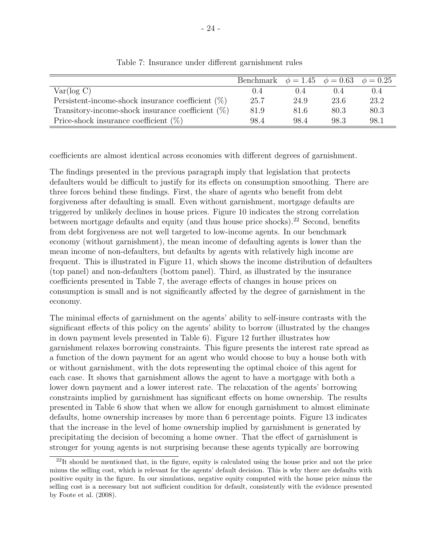|                                                      | Benchmark $\phi = 1.45$ $\phi = 0.63$ $\phi = 0.25$ |       |      |       |
|------------------------------------------------------|-----------------------------------------------------|-------|------|-------|
| Var(log C)                                           | (0.4)                                               | (1.4) |      | (0.4) |
| Persistent-income-shock insurance coefficient $(\%)$ | 25.7                                                | 24.9  | 23.6 | 23.2  |
| Transitory-income-shock insurance coefficient $(\%)$ | 81.9                                                | 81.6  | 80.3 | 80.3  |
| Price-shock insurance coefficient $(\%)$             | 98.4                                                | 98.4  | 98.3 | 98.1  |

Table 7: Insurance under different garnishment rules

coefficients are almost identical across economies with different degrees of garnishment.

The findings presented in the previous paragraph imply that legislation that protects defaulters would be difficult to justify for its effects on consumption smoothing. There are three forces behind these findings. First, the share of agents who benefit from debt forgiveness after defaulting is small. Even without garnishment, mortgage defaults are triggered by unlikely declines in house prices. Figure 10 indicates the strong correlation between mortgage defaults and equity (and thus house price shocks).<sup>22</sup> Second, benefits from debt forgiveness are not well targeted to low-income agents. In our benchmark economy (without garnishment), the mean income of defaulting agents is lower than the mean income of non-defaulters, but defaults by agents with relatively high income are frequent. This is illustrated in Figure 11, which shows the income distribution of defaulters (top panel) and non-defaulters (bottom panel). Third, as illustrated by the insurance coefficients presented in Table 7, the average effects of changes in house prices on consumption is small and is not significantly affected by the degree of garnishment in the economy.

The minimal effects of garnishment on the agents' ability to self-insure contrasts with the significant effects of this policy on the agents' ability to borrow (illustrated by the changes in down payment levels presented in Table 6). Figure 12 further illustrates how garnishment relaxes borrowing constraints. This figure presents the interest rate spread as a function of the down payment for an agent who would choose to buy a house both with or without garnishment, with the dots representing the optimal choice of this agent for each case. It shows that garnishment allows the agent to have a mortgage with both a lower down payment and a lower interest rate. The relaxation of the agents' borrowing constraints implied by garnishment has significant effects on home ownership. The results presented in Table 6 show that when we allow for enough garnishment to almost eliminate defaults, home ownership increases by more than 6 percentage points. Figure 13 indicates that the increase in the level of home ownership implied by garnishment is generated by precipitating the decision of becoming a home owner. That the effect of garnishment is stronger for young agents is not surprising because these agents typically are borrowing

 $^{22}$ It should be mentioned that, in the figure, equity is calculated using the house price and not the price minus the selling cost, which is relevant for the agents' default decision. This is why there are defaults with positive equity in the figure. In our simulations, negative equity computed with the house price minus the selling cost is a necessary but not sufficient condition for default, consistently with the evidence presented by Foote et al. (2008).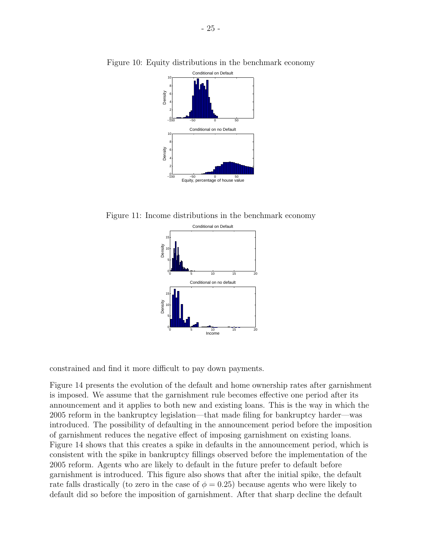

Figure 10: Equity distributions in the benchmark economy

Figure 11: Income distributions in the benchmark economy



constrained and find it more difficult to pay down payments.

Figure 14 presents the evolution of the default and home ownership rates after garnishment is imposed. We assume that the garnishment rule becomes effective one period after its announcement and it applies to both new and existing loans. This is the way in which the 2005 reform in the bankruptcy legislation—that made filing for bankruptcy harder—was introduced. The possibility of defaulting in the announcement period before the imposition of garnishment reduces the negative effect of imposing garnishment on existing loans. Figure 14 shows that this creates a spike in defaults in the announcement period, which is consistent with the spike in bankruptcy fillings observed before the implementation of the 2005 reform. Agents who are likely to default in the future prefer to default before garnishment is introduced. This figure also shows that after the initial spike, the default rate falls drastically (to zero in the case of  $\phi = 0.25$ ) because agents who were likely to default did so before the imposition of garnishment. After that sharp decline the default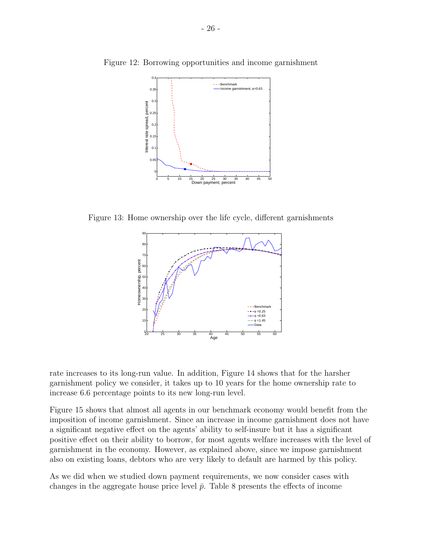

Figure 12: Borrowing opportunities and income garnishment

Figure 13: Home ownership over the life cycle, different garnishments



rate increases to its long-run value. In addition, Figure 14 shows that for the harsher garnishment policy we consider, it takes up to 10 years for the home ownership rate to increase 6.6 percentage points to its new long-run level.

Figure 15 shows that almost all agents in our benchmark economy would benefit from the imposition of income garnishment. Since an increase in income garnishment does not have a significant negative effect on the agents' ability to self-insure but it has a significant positive effect on their ability to borrow, for most agents welfare increases with the level of garnishment in the economy. However, as explained above, since we impose garnishment also on existing loans, debtors who are very likely to default are harmed by this policy.

As we did when we studied down payment requirements, we now consider cases with changes in the aggregate house price level  $\bar{p}$ . Table 8 presents the effects of income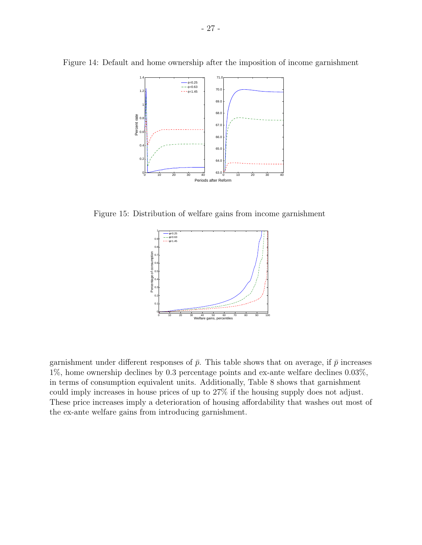

Figure 14: Default and home ownership after the imposition of income garnishment

Figure 15: Distribution of welfare gains from income garnishment



garnishment under different responses of  $\bar{p}$ . This table shows that on average, if  $\bar{p}$  increases 1%, home ownership declines by 0.3 percentage points and ex-ante welfare declines 0.03%, in terms of consumption equivalent units. Additionally, Table 8 shows that garnishment could imply increases in house prices of up to 27% if the housing supply does not adjust. These price increases imply a deterioration of housing affordability that washes out most of the ex-ante welfare gains from introducing garnishment.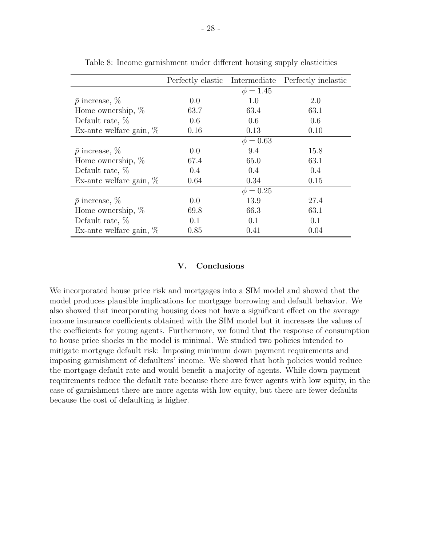|                            | Perfectly elastic | Intermediate  | Perfectly inelastic |
|----------------------------|-------------------|---------------|---------------------|
|                            |                   | $\phi = 1.45$ |                     |
| $\bar{p}$ increase, $\%$   | 0.0               | 1.0           | 2.0                 |
| Home ownership, $%$        | 63.7              | 63.4          | 63.1                |
| Default rate, $%$          | 0.6               | 0.6           | 0.6                 |
| Ex-ante welfare gain, $\%$ | 0.16              | 0.13          | 0.10                |
|                            |                   | $\phi = 0.63$ |                     |
| $\bar{p}$ increase, $\%$   | $0.0^{\circ}$     | 9.4           | 15.8                |
| Home ownership, $%$        | 67.4              | 65.0          | 63.1                |
| Default rate, $%$          | 0.4               | 0.4           | 0.4                 |
| Ex-ante welfare gain, $\%$ | 0.64              | 0.34          | 0.15                |
|                            |                   | $\phi = 0.25$ |                     |
| $\bar{p}$ increase, $\%$   | $0.0^{\circ}$     | 13.9          | 27.4                |
| Home ownership, $%$        | 69.8              | 66.3          | 63.1                |
| Default rate, $%$          | 0.1               | 0.1           | 0.1                 |
| Ex-ante welfare gain, $\%$ | 0.85              | 0.41          | 0.04                |

Table 8: Income garnishment under different housing supply elasticities

#### V. Conclusions

We incorporated house price risk and mortgages into a SIM model and showed that the model produces plausible implications for mortgage borrowing and default behavior. We also showed that incorporating housing does not have a significant effect on the average income insurance coefficients obtained with the SIM model but it increases the values of the coefficients for young agents. Furthermore, we found that the response of consumption to house price shocks in the model is minimal. We studied two policies intended to mitigate mortgage default risk: Imposing minimum down payment requirements and imposing garnishment of defaulters' income. We showed that both policies would reduce the mortgage default rate and would benefit a majority of agents. While down payment requirements reduce the default rate because there are fewer agents with low equity, in the case of garnishment there are more agents with low equity, but there are fewer defaults because the cost of defaulting is higher.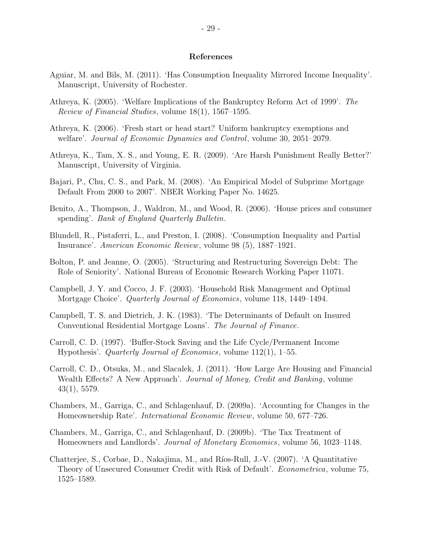#### References

- Aguiar, M. and Bils, M. (2011). 'Has Consumption Inequality Mirrored Income Inequality'. Manuscript, University of Rochester.
- Athreya, K. (2005). 'Welfare Implications of the Bankruptcy Reform Act of 1999'. The Review of Financial Studies, volume 18(1), 1567–1595.
- Athreya, K. (2006). 'Fresh start or head start? Uniform bankruptcy exemptions and welfare'. Journal of Economic Dynamics and Control, volume 30, 2051–2079.
- Athreya, K., Tam, X. S., and Young, E. R. (2009). 'Are Harsh Punishment Really Better?' Manuscript, University of Virginia.
- Bajari, P., Chu, C. S., and Park, M. (2008). 'An Empirical Model of Subprime Mortgage Default From 2000 to 2007'. NBER Working Paper No. 14625.
- Benito, A., Thompson, J., Waldron, M., and Wood, R. (2006). 'House prices and consumer spending'. Bank of England Quarterly Bulletin.
- Blundell, R., Pistaferri, L., and Preston, I. (2008). 'Consumption Inequality and Partial Insurance'. American Economic Review, volume 98 (5), 1887–1921.
- Bolton, P. and Jeanne, O. (2005). 'Structuring and Restructuring Sovereign Debt: The Role of Seniority'. National Bureau of Economic Research Working Paper 11071.
- Campbell, J. Y. and Cocco, J. F. (2003). 'Household Risk Management and Optimal Mortgage Choice'. Quarterly Journal of Economics, volume 118, 1449–1494.
- Campbell, T. S. and Dietrich, J. K. (1983). 'The Determinants of Default on Insured Conventional Residential Mortgage Loans'. The Journal of Finance.
- Carroll, C. D. (1997). 'Buffer-Stock Saving and the Life Cycle/Permanent Income Hypothesis'. Quarterly Journal of Economics, volume 112(1), 1–55.
- Carroll, C. D., Otsuka, M., and Slacalek, J. (2011). 'How Large Are Housing and Financial Wealth Effects? A New Approach'. *Journal of Money, Credit and Banking*, volume 43(1), 5579.
- Chambers, M., Garriga, C., and Schlagenhauf, D. (2009a). 'Accounting for Changes in the Homeownership Rate'. International Economic Review, volume 50, 677–726.
- Chambers, M., Garriga, C., and Schlagenhauf, D. (2009b). 'The Tax Treatment of Homeowners and Landlords'. Journal of Monetary Economics, volume 56, 1023–1148.
- Chatterjee, S., Corbae, D., Nakajima, M., and Ríos-Rull, J.-V. (2007). 'A Quantitative Theory of Unsecured Consumer Credit with Risk of Default'. Econometrica, volume 75, 1525–1589.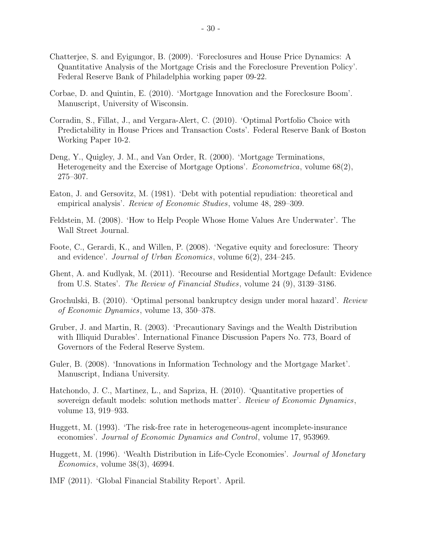- Chatterjee, S. and Eyigungor, B. (2009). 'Foreclosures and House Price Dynamics: A Quantitative Analysis of the Mortgage Crisis and the Foreclosure Prevention Policy'. Federal Reserve Bank of Philadelphia working paper 09-22.
- Corbae, D. and Quintin, E. (2010). 'Mortgage Innovation and the Foreclosure Boom'. Manuscript, University of Wisconsin.
- Corradin, S., Fillat, J., and Vergara-Alert, C. (2010). 'Optimal Portfolio Choice with Predictability in House Prices and Transaction Costs'. Federal Reserve Bank of Boston Working Paper 10-2.
- Deng, Y., Quigley, J. M., and Van Order, R. (2000). 'Mortgage Terminations, Heterogeneity and the Exercise of Mortgage Options'. Econometrica, volume 68(2), 275–307.
- Eaton, J. and Gersovitz, M. (1981). 'Debt with potential repudiation: theoretical and empirical analysis'. Review of Economic Studies, volume 48, 289–309.
- Feldstein, M. (2008). 'How to Help People Whose Home Values Are Underwater'. The Wall Street Journal.
- Foote, C., Gerardi, K., and Willen, P. (2008). 'Negative equity and foreclosure: Theory and evidence'. Journal of Urban Economics, volume 6(2), 234–245.
- Ghent, A. and Kudlyak, M. (2011). 'Recourse and Residential Mortgage Default: Evidence from U.S. States'. The Review of Financial Studies, volume 24 (9), 3139–3186.
- Grochulski, B. (2010). 'Optimal personal bankruptcy design under moral hazard'. Review of Economic Dynamics, volume 13, 350–378.
- Gruber, J. and Martin, R. (2003). 'Precautionary Savings and the Wealth Distribution with Illiquid Durables'. International Finance Discussion Papers No. 773, Board of Governors of the Federal Reserve System.
- Guler, B. (2008). 'Innovations in Information Technology and the Mortgage Market'. Manuscript, Indiana University.
- Hatchondo, J. C., Martinez, L., and Sapriza, H. (2010). 'Quantitative properties of sovereign default models: solution methods matter'. Review of Economic Dynamics, volume 13, 919–933.
- Huggett, M. (1993). 'The risk-free rate in heterogeneous-agent incomplete-insurance economies'. Journal of Economic Dynamics and Control, volume 17, 953969.
- Huggett, M. (1996). 'Wealth Distribution in Life-Cycle Economies'. Journal of Monetary Economics, volume 38(3), 46994.
- IMF (2011). 'Global Financial Stability Report'. April.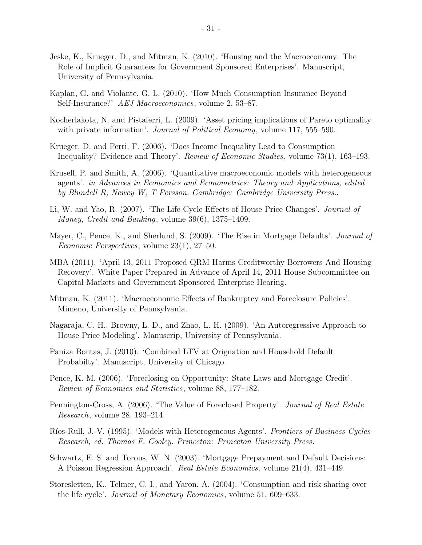- Jeske, K., Krueger, D., and Mitman, K. (2010). 'Housing and the Macroeconomy: The Role of Implicit Guarantees for Government Sponsored Enterprises'. Manuscript, University of Pennsylvania.
- Kaplan, G. and Violante, G. L. (2010). 'How Much Consumption Insurance Beyond Self-Insurance?' AEJ Macroeconomics, volume 2, 53–87.
- Kocherlakota, N. and Pistaferri, L. (2009). 'Asset pricing implications of Pareto optimality with private information'. *Journal of Political Economy*, volume 117, 555–590.
- Krueger, D. and Perri, F. (2006). 'Does Income Inequality Lead to Consumption Inequality? Evidence and Theory'. Review of Economic Studies, volume 73(1), 163–193.
- Krusell, P. and Smith, A. (2006). 'Quantitative macroeconomic models with heterogeneous agents'. in Advances in Economics and Econometrics: Theory and Applications, edited by Blundell R, Newey W, T Persson. Cambridge: Cambridge University Press..
- Li, W. and Yao, R. (2007). 'The Life-Cycle Effects of House Price Changes'. Journal of Money, Credit and Banking, volume 39(6), 1375–1409.
- Mayer, C., Pence, K., and Sherlund, S. (2009). 'The Rise in Mortgage Defaults'. *Journal of* Economic Perspectives, volume 23(1), 27–50.
- MBA (2011). 'April 13, 2011 Proposed QRM Harms Creditworthy Borrowers And Housing Recovery'. White Paper Prepared in Advance of April 14, 2011 House Subcommittee on Capital Markets and Government Sponsored Enterprise Hearing.
- Mitman, K. (2011). 'Macroeconomic Effects of Bankruptcy and Foreclosure Policies'. Mimeno, University of Pennsylvania.
- Nagaraja, C. H., Browny, L. D., and Zhao, L. H. (2009). 'An Autoregressive Approach to House Price Modeling'. Manuscrip, University of Pennsylvania.
- Paniza Bontas, J. (2010). 'Combined LTV at Orignation and Household Default Probabilty'. Manuscript, University of Chicago.
- Pence, K. M. (2006). 'Foreclosing on Opportunity: State Laws and Mortgage Credit'. Review of Economics and Statistics, volume 88, 177–182.
- Pennington-Cross, A. (2006). 'The Value of Foreclosed Property'. Journal of Real Estate Research, volume 28, 193–214.
- Ríos-Rull, J.-V. (1995). 'Models with Heterogeneous Agents'. *Frontiers of Business Cycles* Research, ed. Thomas F. Cooley. Princeton: Princeton University Press.
- Schwartz, E. S. and Torous, W. N. (2003). 'Mortgage Prepayment and Default Decisions: A Poisson Regression Approach'. Real Estate Economics, volume 21(4), 431–449.
- Storesletten, K., Telmer, C. I., and Yaron, A. (2004). 'Consumption and risk sharing over the life cycle'. Journal of Monetary Economics, volume 51, 609–633.